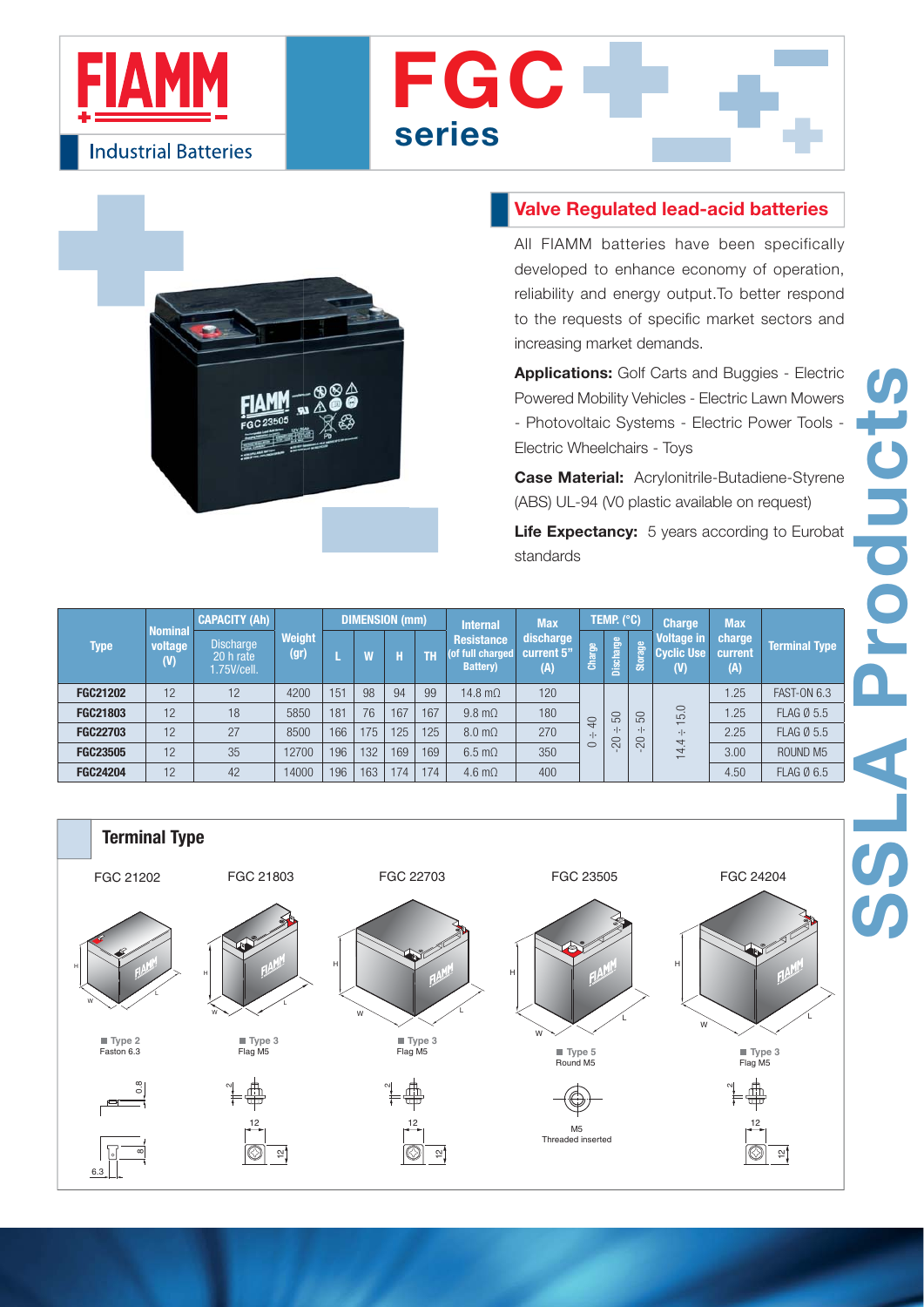





## **Valve Regulated lead-acid batteries**

All FIAMM batteries have been specifically developed to enhance economy of operation, reliability and energy output.To better respond to the requests of specific market sectors and increasing market demands.

**Applications:** Golf Carts and Buggies - Electric Powered Mobility Vehicles - Electric Lawn Mowers - Photovoltaic Systems - Electric Power Tools - Electric Wheelchairs - Toys

**Case Material:** Acrylonitrile-Butadiene-Styrene (ABS) UL-94 (V0 plastic available on request)

Life Expectancy: 5 years according to Eurobat standards

| Type            | <b>Nominal</b><br>voltage<br>(V) | <b>CAPACITY (Ah)</b>                          |                       | DIMENSION (mm) |     |     |     | <b>Internal</b>                                           | <b>Max</b>                     | TEMP. (°C) |                  |                                 | <b>Charge</b>                                                      | <b>Max</b>               |                      |
|-----------------|----------------------------------|-----------------------------------------------|-----------------------|----------------|-----|-----|-----|-----------------------------------------------------------|--------------------------------|------------|------------------|---------------------------------|--------------------------------------------------------------------|--------------------------|----------------------|
|                 |                                  | <b>Discharge</b><br>$20h$ rate<br>1.75V/cell. | <b>Weight</b><br>(gr) |                | W   | Н   | TT. | <b>Resistance</b><br>(of full charged<br><b>Battery</b> ) | discharge<br>current 5"<br>(A) | Charge     | <b>Discharge</b> | Storage                         | <b>Voltage in</b><br><b>Cyclic Use</b><br>(V)                      | charge<br>current<br>(A) | <b>Terminal Type</b> |
| <b>FGC21202</b> | 12                               | 12                                            | 4200                  | 151            | 98  | 94  | 99  | 14.8 m $\Omega$                                           | 120                            |            |                  | 50<br>$\cdot \cdot$<br>$\infty$ | 5.0<br>$\overline{ }$<br>$\cdot \cdot$<br>4<br>4<br>$\overline{ }$ | 1.25                     | <b>FAST-ON 6.3</b>   |
| <b>FGC21803</b> | 12                               | 18                                            | 5850                  | 181            | 76  | 167 | 167 | $9.8 \text{ m}\Omega$                                     | 180                            | $\Theta$   | 50               |                                 |                                                                    | 1.25                     | <b>FLAG Ø 5.5</b>    |
| <b>FGC22703</b> | 12                               | 27                                            | 8500                  | 166            | 175 | 125 | 125 | $8.0 \text{ m}\Omega$                                     | 270                            |            | $\cdot \cdot$    |                                 |                                                                    | 2.25                     | <b>FLAG Ø 5.5</b>    |
| <b>FGC23505</b> | 12                               | 35                                            | 12700                 | 196            | 132 | 169 | 169 | $6.5 \text{ m}\Omega$                                     | 350                            | $\subset$  | 20               |                                 |                                                                    | 3.00                     | ROUND <sub>M5</sub>  |
| <b>FGC24204</b> | 12                               | 42                                            | 14000                 | 196            | 163 | 174 | 174 | $4.6 \text{ m}\Omega$                                     | 400                            |            |                  |                                 |                                                                    | 4.50                     | FLAG Ø 6.5           |